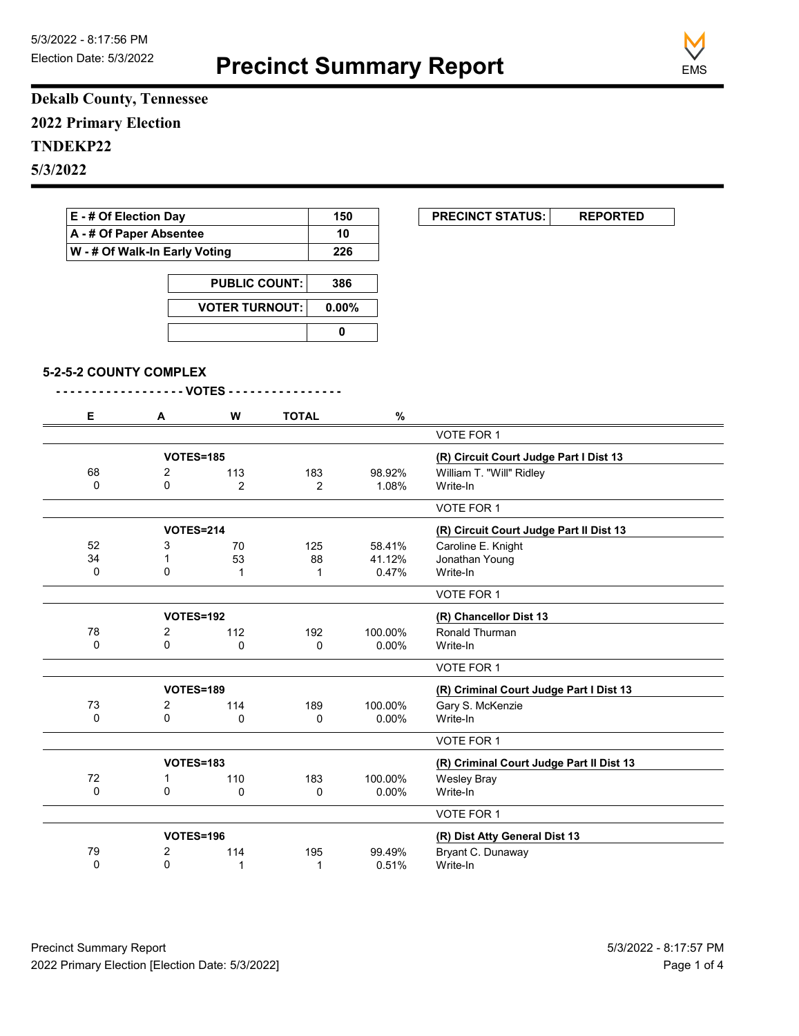**Precinct Summary Report**



**Dekalb County, Tennessee 2022 Primary Election TNDEKP22 5/3/2022**

| E - # Of Election Day<br>A - # Of Paper Absentee<br>W - # Of Walk-In Early Voting |                        |                                |              | 150            |         | <b>PRECINCT STATUS:</b><br><b>REPORTED</b> |
|-----------------------------------------------------------------------------------|------------------------|--------------------------------|--------------|----------------|---------|--------------------------------------------|
|                                                                                   |                        |                                |              | 10             |         |                                            |
|                                                                                   |                        |                                |              | 226            |         |                                            |
|                                                                                   | <b>PUBLIC COUNT:</b>   |                                |              | 386            |         |                                            |
|                                                                                   |                        | <b>VOTER TURNOUT:</b>          |              | $0.00\%$       |         |                                            |
|                                                                                   |                        |                                |              | $\mathbf 0$    |         |                                            |
|                                                                                   |                        |                                |              |                |         |                                            |
|                                                                                   | 5-2-5-2 COUNTY COMPLEX |                                |              |                |         |                                            |
|                                                                                   |                        | - - - - VOTES - - -<br>$- - -$ |              |                |         |                                            |
| Е                                                                                 | Α                      | W                              | <b>TOTAL</b> |                | %       |                                            |
|                                                                                   |                        |                                |              |                |         | VOTE FOR 1                                 |
|                                                                                   |                        | <b>VOTES=185</b>               |              |                |         | (R) Circuit Court Judge Part I Dist 13     |
| 68                                                                                | $\overline{2}$         | 113                            | 183          |                | 98.92%  | William T. "Will" Ridley                   |
| $\mathbf 0$                                                                       | $\Omega$               | $\overline{2}$                 |              | $\overline{2}$ | 1.08%   | Write-In                                   |
|                                                                                   |                        |                                |              |                |         | VOTE FOR 1                                 |
|                                                                                   |                        | <b>VOTES=214</b>               |              |                |         | (R) Circuit Court Judge Part II Dist 13    |
| 52                                                                                | 3                      | 70                             | 125          |                | 58.41%  | Caroline E. Knight                         |
| 34                                                                                | $\mathbf{1}$           | 53                             |              | 88             | 41.12%  | Jonathan Young                             |
| 0                                                                                 | 0                      | $\mathbf{1}$                   |              | $\mathbf{1}$   | 0.47%   | Write-In                                   |
|                                                                                   |                        |                                |              |                |         | <b>VOTE FOR 1</b>                          |
| VOTES=192                                                                         |                        |                                |              |                |         | (R) Chancellor Dist 13                     |
| 78                                                                                | 2                      | 112                            | 192          |                | 100.00% | Ronald Thurman                             |
| 0                                                                                 | $\Omega$               | 0                              |              | 0              | 0.00%   | Write-In                                   |
|                                                                                   |                        |                                |              |                |         | VOTE FOR 1                                 |
|                                                                                   |                        | <b>VOTES=189</b>               |              |                |         | (R) Criminal Court Judge Part I Dist 13    |
| 73                                                                                | 2                      | 114                            | 189          |                | 100.00% | Gary S. McKenzie                           |
| 0                                                                                 | $\Omega$               | $\mathbf{0}$                   |              | 0              | 0.00%   | Write-In                                   |
|                                                                                   |                        |                                |              |                |         | VOTE FOR 1                                 |
|                                                                                   |                        | <b>VOTES=183</b>               |              |                |         | (R) Criminal Court Judge Part II Dist 13   |
| 72                                                                                | $\mathbf{1}$           | 110                            | 183          |                | 100.00% | <b>Wesley Bray</b>                         |
| 0                                                                                 | 0                      | $\mathbf{0}$                   |              | $\Omega$       | 0.00%   | Write-In                                   |
|                                                                                   |                        |                                |              |                |         | VOTE FOR 1                                 |
|                                                                                   |                        |                                |              |                |         |                                            |

 $0.51%$ 

79 2 114 195 99.49% Bryant C. Dunaway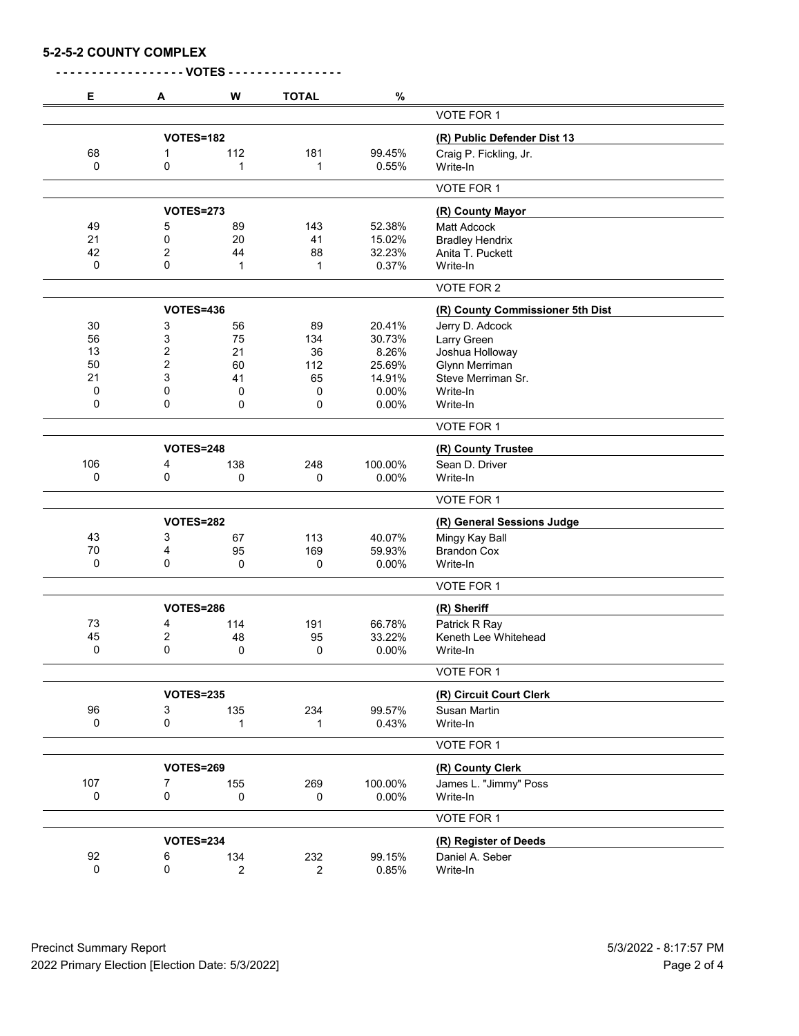| <b>5-2-5-2 COUNTY COMPLEX</b> |  |
|-------------------------------|--|
|-------------------------------|--|

| Е   | Α                | W              | <b>TOTAL</b> | $\%$       |                                  |
|-----|------------------|----------------|--------------|------------|----------------------------------|
|     |                  |                |              |            | VOTE FOR 1                       |
|     | VOTES=182        |                |              |            | (R) Public Defender Dist 13      |
| 68  | 1                | 112            | 181          | 99.45%     | Craig P. Fickling, Jr.           |
| 0   | 0                | 1              | 1            | 0.55%      | Write-In                         |
|     |                  |                |              |            | VOTE FOR 1                       |
|     | <b>VOTES=273</b> |                |              |            | (R) County Mayor                 |
| 49  | 5                | 89             | 143          | 52.38%     | <b>Matt Adcock</b>               |
| 21  | 0                | 20             | 41           | 15.02%     | <b>Bradley Hendrix</b>           |
| 42  | 2                | 44             | 88           | 32.23%     | Anita T. Puckett                 |
| 0   | 0                | 1              | 1            | 0.37%      | Write-In                         |
|     |                  |                |              |            | VOTE FOR 2                       |
|     | <b>VOTES=436</b> |                |              |            | (R) County Commissioner 5th Dist |
| 30  | 3                | 56             | 89           | 20.41%     | Jerry D. Adcock                  |
| 56  | 3                | 75             | 134          | 30.73%     | Larry Green                      |
| 13  | $\overline{c}$   | 21             | 36           | 8.26%      | Joshua Holloway                  |
| 50  | $\overline{2}$   | 60             | 112          | 25.69%     | Glynn Merriman                   |
| 21  | 3                | 41             | 65           | 14.91%     | Steve Merriman Sr.               |
| 0   | 0                | 0              | 0            | 0.00%      | Write-In                         |
| 0   | 0                | 0              | 0            | 0.00%      | Write-In                         |
|     |                  |                |              |            | VOTE FOR 1                       |
|     | <b>VOTES=248</b> |                |              |            | (R) County Trustee               |
| 106 | 4                | 138            | 248          | 100.00%    | Sean D. Driver                   |
| 0   | 0                | 0              | 0            | 0.00%      | Write-In                         |
|     |                  |                |              | VOTE FOR 1 |                                  |
|     | <b>VOTES=282</b> |                |              |            | (R) General Sessions Judge       |
| 43  | 3                | 67             | 113          | 40.07%     | Mingy Kay Ball                   |
| 70  | 4                | 95             | 169          | 59.93%     | <b>Brandon Cox</b>               |
| 0   | 0                | 0              | 0            | 0.00%      | Write-In                         |
|     |                  |                |              |            | <b>VOTE FOR 1</b>                |
|     |                  |                |              |            |                                  |
|     | <b>VOTES=286</b> |                |              |            | (R) Sheriff                      |
| 73  | 4                | 114            | 191          | 66.78%     | Patrick R Ray                    |
| 45  | 2                | 48             | 95           | 33.22%     | Keneth Lee Whitehead             |
| 0   | 0                | $\Omega$       | 0            | 0.00%      | Write-In                         |
|     |                  |                |              |            | VOTE FOR 1                       |
|     | <b>VOTES=235</b> |                |              |            | (R) Circuit Court Clerk          |
| 96  | 3                | 135            | 234          | 99.57%     | Susan Martin                     |
| 0   | 0                | 1              | 1            | 0.43%      | Write-In                         |
|     |                  |                |              |            | VOTE FOR 1                       |
|     | <b>VOTES=269</b> |                |              |            | (R) County Clerk                 |
| 107 | 7                | 155            | 269          | 100.00%    | James L. "Jimmy" Poss            |
| 0   | 0                | 0              | 0            | 0.00%      | Write-In                         |
|     |                  |                |              |            | VOTE FOR 1                       |
|     | <b>VOTES=234</b> |                |              |            | (R) Register of Deeds            |
| 92  | 6                | 134            | 232          | 99.15%     | Daniel A. Seber                  |
| 0   | 0                | $\overline{2}$ | 2            | 0.85%      | Write-In                         |
|     |                  |                |              |            |                                  |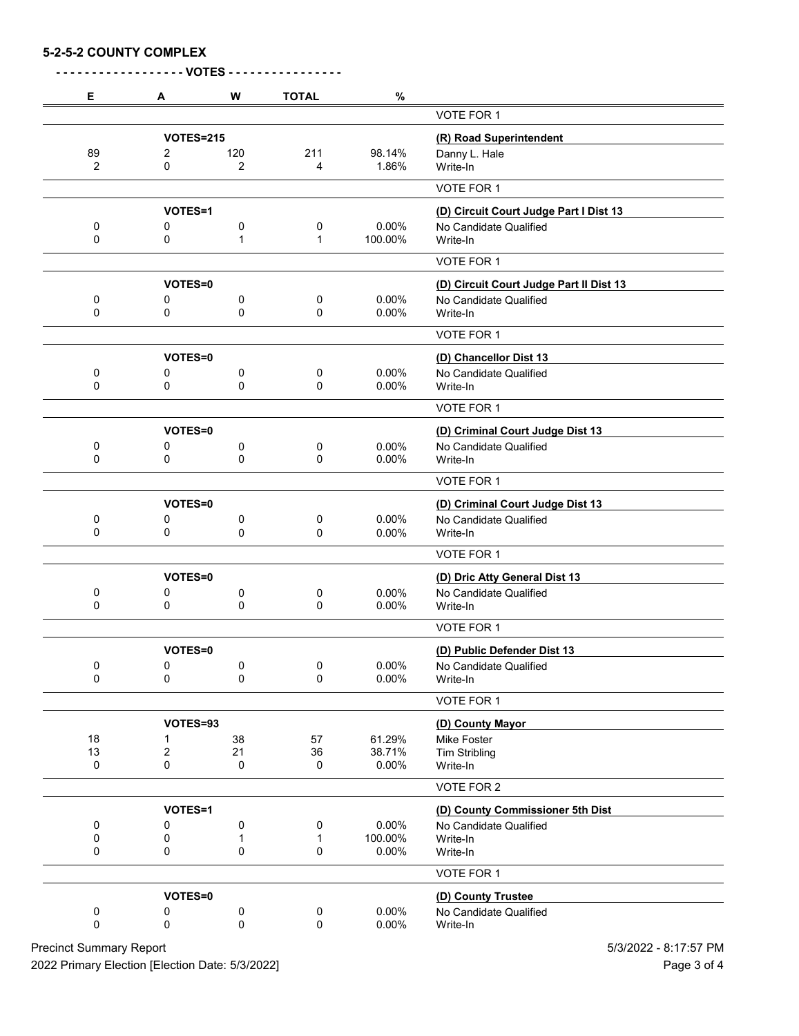## **5-2-5-2 COUNTY COMPLEX**

|           |                       | <b>VOTES -</b> |                   |                  |                                              |
|-----------|-----------------------|----------------|-------------------|------------------|----------------------------------------------|
| Е         | A                     | W              | <b>TOTAL</b>      | $\%$             |                                              |
|           |                       |                |                   |                  | VOTE FOR 1                                   |
|           | <b>VOTES=215</b>      |                |                   |                  | (R) Road Superintendent                      |
| 89        | 2                     | 120            | 211               | 98.14%           | Danny L. Hale                                |
| 2         | 0                     | $\overline{2}$ | 4                 | 1.86%            | Write-In                                     |
|           |                       |                |                   |                  | VOTE FOR 1                                   |
|           | VOTES=1               |                |                   |                  | (D) Circuit Court Judge Part I Dist 13       |
| 0<br>0    | 0<br>0                | 0              | 0                 | 0.00%<br>100.00% | No Candidate Qualified<br>Write-In           |
|           |                       | 1              | 1                 |                  |                                              |
|           |                       |                |                   |                  | VOTE FOR 1                                   |
|           | VOTES=0               |                |                   |                  | (D) Circuit Court Judge Part II Dist 13      |
| 0<br>0    | 0<br>0                | 0              | 0<br>$\mathbf 0$  | 0.00%            | No Candidate Qualified                       |
|           |                       | 0              |                   | 0.00%            | Write-In                                     |
|           |                       |                |                   |                  | VOTE FOR 1                                   |
|           | VOTES=0               |                |                   |                  | (D) Chancellor Dist 13                       |
| 0         | 0                     | 0              | 0                 | 0.00%            | No Candidate Qualified                       |
| 0         | 0                     | 0              | 0                 | 0.00%            | Write-In                                     |
|           |                       |                |                   |                  | VOTE FOR 1                                   |
|           | <b>VOTES=0</b>        |                |                   |                  | (D) Criminal Court Judge Dist 13             |
| 0         | 0                     | 0              | 0                 | 0.00%            | No Candidate Qualified                       |
| 0         | 0                     | 0              | 0                 | 0.00%            | Write-In                                     |
|           |                       |                |                   |                  | VOTE FOR 1                                   |
|           | VOTES=0               |                |                   |                  | (D) Criminal Court Judge Dist 13             |
| 0         | 0                     | 0              | 0                 | 0.00%            | No Candidate Qualified                       |
| 0         | 0                     | 0              | 0                 | 0.00%            | Write-In                                     |
|           |                       |                |                   |                  | VOTE FOR 1                                   |
|           | VOTES=0               |                |                   |                  | (D) Dric Atty General Dist 13                |
| 0<br>0    | 0<br>0                | 0<br>0         | 0<br>0            | 0.00%            | No Candidate Qualified<br>Write-In           |
|           |                       |                |                   | 0.00%            |                                              |
|           |                       |                |                   |                  | <b>VOTE FOR 1</b>                            |
|           | VOTES=0               |                |                   |                  | (D) Public Defender Dist 13                  |
| 0<br>0    | 0<br>0                | 0              | 0<br>0            | 0.00%            | No Candidate Qualified                       |
|           |                       | 0              |                   | 0.00%            | Write-In                                     |
|           |                       |                |                   |                  | VOTE FOR 1                                   |
|           | VOTES=93              |                |                   |                  | (D) County Mayor                             |
| 18        | 1                     | 38             | 57                | 61.29%           | Mike Foster                                  |
| 13<br>0   | $\boldsymbol{2}$<br>0 | 21<br>0        | 36<br>$\mathbf 0$ | 38.71%<br>0.00%  | <b>Tim Stribling</b><br>Write-In             |
|           |                       |                |                   |                  | VOTE FOR 2                                   |
|           |                       |                |                   |                  |                                              |
|           | VOTES=1               |                |                   |                  | (D) County Commissioner 5th Dist             |
| 0<br>0    | 0<br>0                | 0<br>1         | 0<br>1            | 0.00%<br>100.00% | No Candidate Qualified<br>Write-In           |
| 0         | 0                     | 0              | 0                 | 0.00%            | Write-In                                     |
|           |                       |                |                   |                  | VOTE FOR 1                                   |
|           | VOTES=0               |                |                   |                  |                                              |
| $\pmb{0}$ | 0                     |                | 0                 | 0.00%            | (D) County Trustee<br>No Candidate Qualified |
| 0         | 0                     | 0<br>0         | $\mathbf 0$       | $0.00\%$         | Write-In                                     |